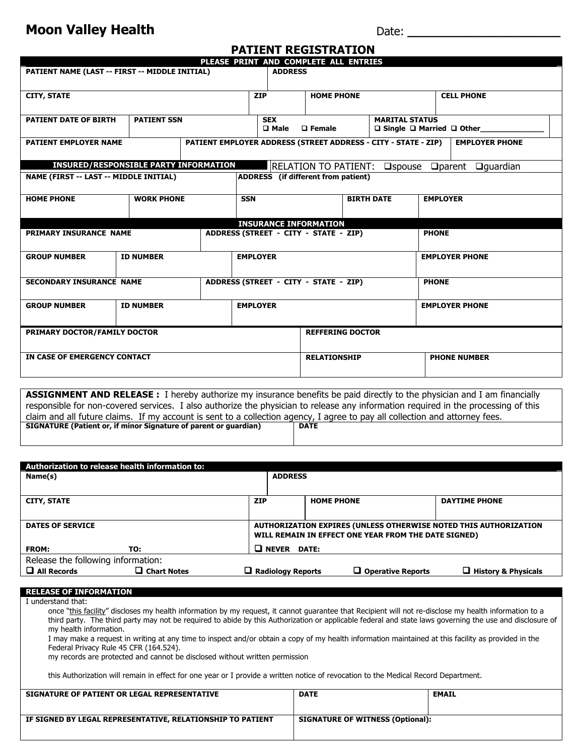## **Moon Valley Health**

Date: **\_\_\_\_\_\_\_\_\_\_\_\_\_\_\_\_\_\_\_\_\_**

| <b>PATIENT REGISTRATION</b>                                                   |                    |  |                         |                                                                |                             |  |                  |                                                                             |                                  |  |
|-------------------------------------------------------------------------------|--------------------|--|-------------------------|----------------------------------------------------------------|-----------------------------|--|------------------|-----------------------------------------------------------------------------|----------------------------------|--|
| PLEASE PRINT AND COMPLETE ALL ENTRIES                                         |                    |  |                         |                                                                |                             |  |                  |                                                                             |                                  |  |
| PATIENT NAME (LAST -- FIRST -- MIDDLE INITIAL)                                |                    |  |                         | <b>ADDRESS</b>                                                 |                             |  |                  |                                                                             |                                  |  |
| <b>CITY, STATE</b>                                                            |                    |  |                         | <b>ZIP</b>                                                     | <b>HOME PHONE</b>           |  |                  | <b>CELL PHONE</b>                                                           |                                  |  |
| <b>PATIENT DATE OF BIRTH</b>                                                  | <b>PATIENT SSN</b> |  |                         | <b>SEX</b><br><b>D</b> Male<br>$\square$ Female                |                             |  |                  | <b>MARITAL STATUS</b><br>$\square$ Single $\square$ Married $\square$ Other |                                  |  |
| <b>PATIENT EMPLOYER NAME</b>                                                  |                    |  |                         | PATIENT EMPLOYER ADDRESS (STREET ADDRESS - CITY - STATE - ZIP) |                             |  |                  | <b>EMPLOYER PHONE</b>                                                       |                                  |  |
| <b>INSURED/RESPONSIBLE PARTY INFORMATION</b>                                  |                    |  |                         |                                                                | <b>RELATION TO PATIENT:</b> |  | $\square$ spouse |                                                                             | $\Box$ quardian<br>$\Box$ parent |  |
| ADDRESS (if different from patient)<br>NAME (FIRST -- LAST -- MIDDLE INITIAL) |                    |  |                         |                                                                |                             |  |                  |                                                                             |                                  |  |
| <b>HOME PHONE</b>                                                             | <b>WORK PHONE</b>  |  | <b>SSN</b>              | <b>BIRTH DATE</b>                                              |                             |  |                  | <b>EMPLOYER</b>                                                             |                                  |  |
|                                                                               |                    |  |                         |                                                                |                             |  |                  |                                                                             |                                  |  |
| <b>INSURANCE INFORMATION</b><br>ADDRESS (STREET - CITY - STATE - ZIP)         |                    |  |                         |                                                                |                             |  | <b>PHONE</b>     |                                                                             |                                  |  |
| PRIMARY INSURANCE NAME                                                        |                    |  |                         |                                                                |                             |  |                  |                                                                             |                                  |  |
| <b>GROUP NUMBER</b>                                                           | <b>ID NUMBER</b>   |  |                         | <b>EMPLOYER</b>                                                |                             |  |                  | <b>EMPLOYER PHONE</b>                                                       |                                  |  |
|                                                                               |                    |  |                         |                                                                |                             |  |                  |                                                                             |                                  |  |
| <b>SECONDARY INSURANCE NAME</b>                                               |                    |  |                         | ADDRESS (STREET - CITY - STATE - ZIP)<br><b>PHONE</b>          |                             |  |                  |                                                                             |                                  |  |
| <b>GROUP NUMBER</b>                                                           | <b>ID NUMBER</b>   |  |                         | <b>EMPLOYER</b>                                                |                             |  |                  | <b>EMPLOYER PHONE</b>                                                       |                                  |  |
|                                                                               |                    |  |                         |                                                                |                             |  |                  |                                                                             |                                  |  |
| PRIMARY DOCTOR/FAMILY DOCTOR                                                  |                    |  | <b>REFFERING DOCTOR</b> |                                                                |                             |  |                  |                                                                             |                                  |  |
| IN CASE OF EMERGENCY CONTACT                                                  |                    |  |                         |                                                                | <b>RELATIONSHIP</b>         |  |                  | <b>PHONE NUMBER</b>                                                         |                                  |  |
|                                                                               |                    |  |                         |                                                                |                             |  |                  |                                                                             |                                  |  |

**ASSIGNMENT AND RELEASE :** I hereby authorize my insurance benefits be paid directly to the physician and I am financially responsible for non-covered services. I also authorize the physician to release any information required in the processing of this claim and all future claims. If my account is sent to a collection agency, I agree to pay all collection and attorney fees.<br>SIGNATURE (Patient or, if minor Signature of parent or quardian) | DATE **SIGNATURE (Patient or, if minor Signature of parent or guardian)** 

| Authorization to release health information to: |                       |                |                                                                  |                          |                            |  |  |
|-------------------------------------------------|-----------------------|----------------|------------------------------------------------------------------|--------------------------|----------------------------|--|--|
| Name(s)                                         |                       | <b>ADDRESS</b> |                                                                  |                          |                            |  |  |
|                                                 |                       |                |                                                                  |                          |                            |  |  |
| <b>CITY, STATE</b>                              |                       | <b>ZIP</b>     | <b>HOME PHONE</b>                                                |                          | <b>DAYTIME PHONE</b>       |  |  |
|                                                 |                       |                |                                                                  |                          |                            |  |  |
| <b>DATES OF SERVICE</b>                         |                       |                | AUTHORIZATION EXPIRES (UNLESS OTHERWISE NOTED THIS AUTHORIZATION |                          |                            |  |  |
|                                                 |                       |                | WILL REMAIN IN EFFECT ONE YEAR FROM THE DATE SIGNED)             |                          |                            |  |  |
| <b>FROM:</b>                                    | TO:                   |                | $\Box$ NEVER DATE:                                               |                          |                            |  |  |
| Release the following information:              |                       |                |                                                                  |                          |                            |  |  |
| $\Box$ All Records                              | $\square$ Chart Notes | ப              | <b>Radiology Reports</b>                                         | $\Box$ Operative Reports | $\Box$ History & Physicals |  |  |
|                                                 |                       |                |                                                                  |                          |                            |  |  |

## **RELEASE OF INFORMATION**

I understand that:

once "this facility" discloses my health information by my request, it cannot guarantee that Recipient will not re-disclose my health information to a third party. The third party may not be required to abide by this Authorization or applicable federal and state laws governing the use and disclosure of my health information. I may make a request in writing at any time to inspect and/or obtain a copy of my health information maintained at this facility as provided in the Federal Privacy Rule 45 CFR (164.524). my records are protected and cannot be disclosed without written permission this Authorization will remain in effect for one year or I provide a written notice of revocation to the Medical Record Department.

| SIGNATURE OF PATIENT OR LEGAL REPRESENTATIVE               | <b>DATE</b>                             | <b>EMAIL</b> |
|------------------------------------------------------------|-----------------------------------------|--------------|
| IF SIGNED BY LEGAL REPRESENTATIVE, RELATIONSHIP TO PATIENT | <b>SIGNATURE OF WITNESS (Optional):</b> |              |